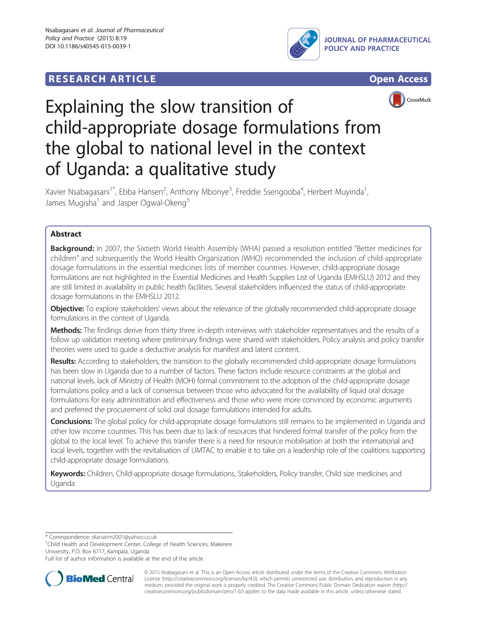## **RESEARCH ARTICLE Example 2008 CONSIDERING A RESEARCH ARTICLE**







# Explaining the slow transition of child-appropriate dosage formulations from the global to national level in the context of Uganda: a qualitative study

Xavier Nsabagasani<sup>1\*</sup>, Ebba Hansen<sup>2</sup>, Anthony Mbonye<sup>3</sup>, Freddie Ssengooba<sup>4</sup>, Herbert Muyinda<sup>1</sup> , James Mugisha<sup>1</sup> and Jasper Ogwal-Okeng<sup>5</sup>

## Abstract

Background: In 2007, the Sixtieth World Health Assembly (WHA) passed a resolution entitled "Better medicines for children" and subsequently the World Health Organization (WHO) recommended the inclusion of child-appropriate dosage formulations in the essential medicines lists of member countries. However, child-appropriate dosage formulations are not highlighted in the Essential Medicines and Health Supplies List of Uganda (EMHSLU) 2012 and they are still limited in availability in public health facilities. Several stakeholders influenced the status of child-appropriate dosage formulations in the EMHSLU 2012.

Objective: To explore stakeholders' views about the relevance of the globally recommended child-appropriate dosage formulations in the context of Uganda.

Methods: The findings derive from thirty three in-depth interviews with stakeholder representatives and the results of a follow up validation meeting where preliminary findings were shared with stakeholders. Policy analysis and policy transfer theories were used to guide a deductive analysis for manifest and latent content.

Results: According to stakeholders, the transition to the globally recommended child-appropriate dosage formulations has been slow in Uganda due to a number of factors. These factors include resource constraints at the global and national levels, lack of Ministry of Health (MOH) formal commitment to the adoption of the child-appropriate dosage formulations policy and a lack of consensus between those who advocated for the availability of liquid oral dosage formulations for easy administration and effectiveness and those who were more convinced by economic arguments and preferred the procurement of solid oral dosage formulations intended for adults.

**Conclusions:** The global policy for child-appropriate dosage formulations still remains to be implemented in Uganda and other low income countries. This has been due to lack of resources that hindered formal transfer of the policy from the global to the local level. To achieve this transfer there is a need for resource mobilisation at both the international and local levels, together with the revitalisation of UMTAC to enable it to take on a leadership role of the coalitions supporting child-appropriate dosage formulations.

Keywords: Children, Child-appropriate dosage formulations, Stakeholders, Policy transfer, Child size medicines and Uganda

\* Correspondence: [dianatim2001@yahoo.co.uk](mailto:dianatim2001@yahoo.co.uk) <sup>1</sup>

<sup>1</sup>Child Health and Development Center, College of Health Sciences, Makerere University, P.O. Box 6717, Kampala, Uganda

Full list of author information is available at the end of the article



© 2015 Nsabagasani et al. This is an Open Access article distributed under the terms of the Creative Commons Attribution License (<http://creativecommons.org/licenses/by/4.0>), which permits unrestricted use, distribution, and reproduction in any medium, provided the original work is properly credited. The Creative Commons Public Domain Dedication waiver [\(http://](http://creativecommons.org/publicdomain/zero/1.0/) [creativecommons.org/publicdomain/zero/1.0/\)](http://creativecommons.org/publicdomain/zero/1.0/) applies to the data made available in this article, unless otherwise stated.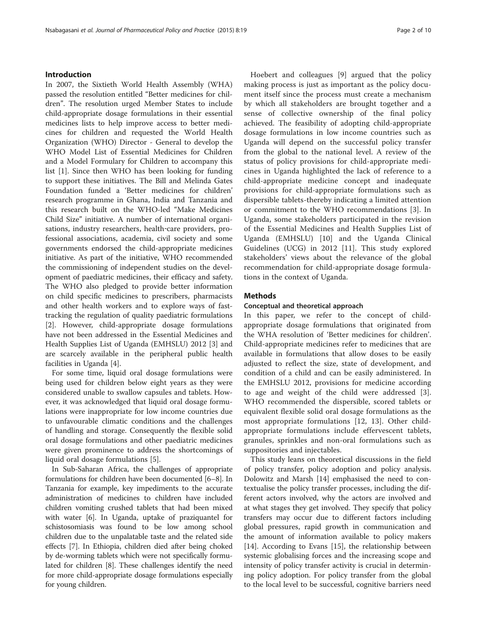## Introduction

In 2007, the Sixtieth World Health Assembly (WHA) passed the resolution entitled "Better medicines for children". The resolution urged Member States to include child-appropriate dosage formulations in their essential medicines lists to help improve access to better medicines for children and requested the World Health Organization (WHO) Director - General to develop the WHO Model List of Essential Medicines for Children and a Model Formulary for Children to accompany this list [\[1\]](#page-9-0). Since then WHO has been looking for funding to support these initiatives. The Bill and Melinda Gates Foundation funded a 'Better medicines for children' research programme in Ghana, India and Tanzania and this research built on the WHO-led "Make Medicines Child Size" initiative. A number of international organisations, industry researchers, health-care providers, professional associations, academia, civil society and some governments endorsed the child-appropriate medicines initiative. As part of the initiative, WHO recommended the commissioning of independent studies on the development of paediatric medicines, their efficacy and safety. The WHO also pledged to provide better information on child specific medicines to prescribers, pharmacists and other health workers and to explore ways of fasttracking the regulation of quality paediatric formulations [[2\]](#page-9-0). However, child-appropriate dosage formulations have not been addressed in the Essential Medicines and Health Supplies List of Uganda (EMHSLU) 2012 [\[3](#page-9-0)] and are scarcely available in the peripheral public health facilities in Uganda [\[4](#page-9-0)].

For some time, liquid oral dosage formulations were being used for children below eight years as they were considered unable to swallow capsules and tablets. However, it was acknowledged that liquid oral dosage formulations were inappropriate for low income countries due to unfavourable climatic conditions and the challenges of handling and storage. Consequently the flexible solid oral dosage formulations and other paediatric medicines were given prominence to address the shortcomings of liquid oral dosage formulations [[5](#page-9-0)].

In Sub-Saharan Africa, the challenges of appropriate formulations for children have been documented [[6](#page-9-0)–[8](#page-9-0)]. In Tanzania for example, key impediments to the accurate administration of medicines to children have included children vomiting crushed tablets that had been mixed with water [\[6](#page-9-0)]. In Uganda, uptake of praziquantel for schistosomiasis was found to be low among school children due to the unpalatable taste and the related side effects [\[7](#page-9-0)]. In Ethiopia, children died after being choked by de-worming tablets which were not specifically formulated for children [[8\]](#page-9-0). These challenges identify the need for more child-appropriate dosage formulations especially for young children.

Hoebert and colleagues [[9\]](#page-9-0) argued that the policy making process is just as important as the policy document itself since the process must create a mechanism by which all stakeholders are brought together and a sense of collective ownership of the final policy achieved. The feasibility of adopting child-appropriate dosage formulations in low income countries such as Uganda will depend on the successful policy transfer from the global to the national level. A review of the status of policy provisions for child-appropriate medicines in Uganda highlighted the lack of reference to a child-appropriate medicine concept and inadequate provisions for child-appropriate formulations such as dispersible tablets-thereby indicating a limited attention or commitment to the WHO recommendations [\[3](#page-9-0)]. In Uganda, some stakeholders participated in the revision of the Essential Medicines and Health Supplies List of Uganda (EMHSLU) [\[10](#page-9-0)] and the Uganda Clinical Guidelines (UCG) in 2012 [[11](#page-9-0)]. This study explored stakeholders' views about the relevance of the global recommendation for child-appropriate dosage formulations in the context of Uganda.

## **Methods**

## Conceptual and theoretical approach

In this paper, we refer to the concept of childappropriate dosage formulations that originated from the WHA resolution of 'Better medicines for children'. Child-appropriate medicines refer to medicines that are available in formulations that allow doses to be easily adjusted to reflect the size, state of development, and condition of a child and can be easily administered. In the EMHSLU 2012, provisions for medicine according to age and weight of the child were addressed [\[3](#page-9-0)]. WHO recommended the dispersible, scored tablets or equivalent flexible solid oral dosage formulations as the most appropriate formulations [[12](#page-9-0), [13\]](#page-9-0). Other childappropriate formulations include effervescent tablets, granules, sprinkles and non-oral formulations such as suppositories and injectables.

This study leans on theoretical discussions in the field of policy transfer, policy adoption and policy analysis. Dolowitz and Marsh [\[14](#page-9-0)] emphasised the need to contextualise the policy transfer processes, including the different actors involved, why the actors are involved and at what stages they get involved. They specify that policy transfers may occur due to different factors including global pressures, rapid growth in communication and the amount of information available to policy makers [[14\]](#page-9-0). According to Evans [\[15](#page-9-0)], the relationship between systemic globalising forces and the increasing scope and intensity of policy transfer activity is crucial in determining policy adoption. For policy transfer from the global to the local level to be successful, cognitive barriers need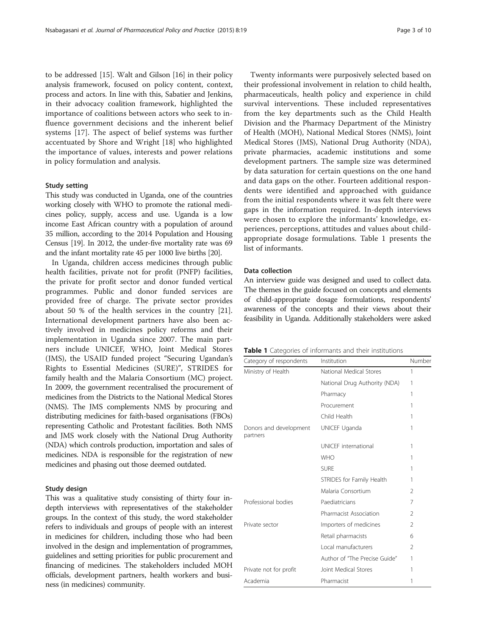to be addressed [[15](#page-9-0)]. Walt and Gilson [[16](#page-9-0)] in their policy analysis framework, focused on policy content, context, process and actors. In line with this, Sabatier and Jenkins, in their advocacy coalition framework, highlighted the importance of coalitions between actors who seek to influence government decisions and the inherent belief systems [\[17](#page-9-0)]. The aspect of belief systems was further accentuated by Shore and Wright [[18](#page-9-0)] who highlighted the importance of values, interests and power relations in policy formulation and analysis.

#### Study setting

This study was conducted in Uganda, one of the countries working closely with WHO to promote the rational medicines policy, supply, access and use. Uganda is a low income East African country with a population of around 35 million, according to the 2014 Population and Housing Census [[19\]](#page-9-0). In 2012, the under-five mortality rate was 69 and the infant mortality rate 45 per 1000 live births [[20](#page-9-0)].

In Uganda, children access medicines through public health facilities, private not for profit (PNFP) facilities, the private for profit sector and donor funded vertical programmes. Public and donor funded services are provided free of charge. The private sector provides about 50 % of the health services in the country [\[21](#page-9-0)]. International development partners have also been actively involved in medicines policy reforms and their implementation in Uganda since 2007. The main partners include UNICEF, WHO, Joint Medical Stores (JMS), the USAID funded project "Securing Ugandan's Rights to Essential Medicines (SURE)", STRIDES for family health and the Malaria Consortium (MC) project. In 2009, the government recentralised the procurement of medicines from the Districts to the National Medical Stores (NMS). The JMS complements NMS by procuring and distributing medicines for faith-based organisations (FBOs) representing Catholic and Protestant facilities. Both NMS and JMS work closely with the National Drug Authority (NDA) which controls production, importation and sales of medicines. NDA is responsible for the registration of new medicines and phasing out those deemed outdated.

#### Study design

This was a qualitative study consisting of thirty four indepth interviews with representatives of the stakeholder groups. In the context of this study, the word stakeholder refers to individuals and groups of people with an interest in medicines for children, including those who had been involved in the design and implementation of programmes, guidelines and setting priorities for public procurement and financing of medicines. The stakeholders included MOH officials, development partners, health workers and business (in medicines) community.

Twenty informants were purposively selected based on their professional involvement in relation to child health, pharmaceuticals, health policy and experience in child survival interventions. These included representatives from the key departments such as the Child Health Division and the Pharmacy Department of the Ministry of Health (MOH), National Medical Stores (NMS), Joint Medical Stores (JMS), National Drug Authority (NDA), private pharmacies, academic institutions and some development partners. The sample size was determined by data saturation for certain questions on the one hand and data gaps on the other. Fourteen additional respondents were identified and approached with guidance from the initial respondents where it was felt there were gaps in the information required. In-depth interviews were chosen to explore the informants' knowledge, experiences, perceptions, attitudes and values about childappropriate dosage formulations. Table 1 presents the list of informants.

## Data collection

An interview guide was designed and used to collect data. The themes in the guide focused on concepts and elements of child-appropriate dosage formulations, respondents' awareness of the concepts and their views about their feasibility in Uganda. Additionally stakeholders were asked

| Table 1 Categories of informants and their institutions |  |  |  |  |  |
|---------------------------------------------------------|--|--|--|--|--|
|---------------------------------------------------------|--|--|--|--|--|

| Category of respondents            | Institution                   | <b>Number</b>  |
|------------------------------------|-------------------------------|----------------|
| Ministry of Health                 | National Medical Stores       | 1              |
|                                    | National Drug Authority (NDA) | 1              |
|                                    | Pharmacy                      | 1              |
|                                    | Procurement                   | 1              |
|                                    | Child Health                  | 1              |
| Donors and development<br>partners | UNICEF Uganda                 | 1              |
|                                    | UNICFF international          | 1              |
|                                    | <b>WHO</b>                    | 1              |
|                                    | <b>SURF</b>                   | 1              |
|                                    | STRIDES for Family Health     | 1              |
|                                    | Malaria Consortium            | $\mathfrak{D}$ |
| Professional bodies                | Paediatricians                | 7              |
|                                    | Pharmacist Association        | $\mathfrak{D}$ |
| Private sector                     | Importers of medicines        | $\mathfrak{D}$ |
|                                    | Retail pharmacists            | 6              |
|                                    | Local manufacturers           | $\mathfrak{D}$ |
|                                    | Author of "The Precise Guide" | 1              |
| Private not for profit             | Joint Medical Stores          | 1              |
| Academia                           | Pharmacist                    | 1              |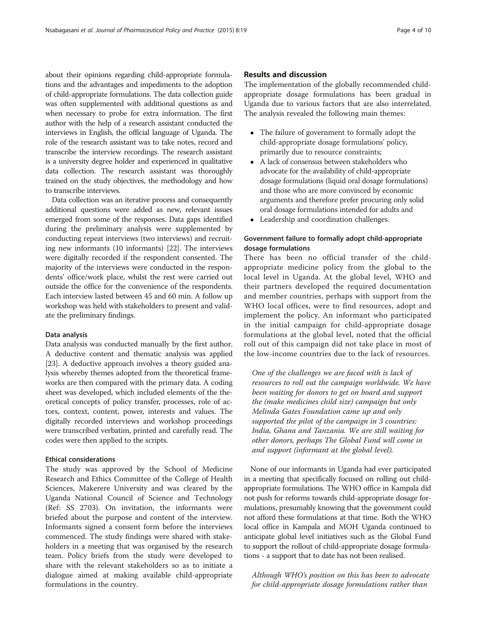about their opinions regarding child-appropriate formulations and the advantages and impediments to the adoption of child-appropriate formulations. The data collection guide was often supplemented with additional questions as and when necessary to probe for extra information. The first author with the help of a research assistant conducted the interviews in English, the official language of Uganda. The role of the research assistant was to take notes, record and transcribe the interview recordings. The research assistant is a university degree holder and experienced in qualitative data collection. The research assistant was thoroughly trained on the study objectives, the methodology and how to transcribe interviews.

Data collection was an iterative process and consequently additional questions were added as new, relevant issues emerged from some of the responses. Data gaps identified during the preliminary analysis were supplemented by conducting repeat interviews (two interviews) and recruiting new informants (10 informants) [\[22\]](#page-9-0). The interviews were digitally recorded if the respondent consented. The majority of the interviews were conducted in the respondents' office/work place, whilst the rest were carried out outside the office for the convenience of the respondents. Each interview lasted between 45 and 60 min. A follow up workshop was held with stakeholders to present and validate the preliminary findings.

#### Data analysis

Data analysis was conducted manually by the first author. A deductive content and thematic analysis was applied [[23](#page-9-0)]. A deductive approach involves a theory guided analysis whereby themes adopted from the theoretical frameworks are then compared with the primary data. A coding sheet was developed, which included elements of the theoretical concepts of policy transfer, processes, role of actors, context, content, power, interests and values. The digitally recorded interviews and workshop proceedings were transcribed verbatim, printed and carefully read. The codes were then applied to the scripts.

#### Ethical considerations

The study was approved by the School of Medicine Research and Ethics Committee of the College of Health Sciences, Makerere University and was cleared by the Uganda National Council of Science and Technology (Ref: SS 2703). On invitation, the informants were briefed about the purpose and content of the interview. Informants signed a consent form before the interviews commenced. The study findings were shared with stakeholders in a meeting that was organised by the research team. Policy briefs from the study were developed to share with the relevant stakeholders so as to initiate a dialogue aimed at making available child-appropriate formulations in the country.

### Results and discussion

The implementation of the globally recommended childappropriate dosage formulations has been gradual in Uganda due to various factors that are also interrelated. The analysis revealed the following main themes:

- The failure of government to formally adopt the child-appropriate dosage formulations' policy, primarily due to resource constraints;
- A lack of consensus between stakeholders who advocate for the availability of child-appropriate dosage formulations (liquid oral dosage formulations) and those who are more convinced by economic arguments and therefore prefer procuring only solid oral dosage formulations intended for adults and
- Leadership and coordination challenges.

## Government failure to formally adopt child-appropriate dosage formulations

There has been no official transfer of the childappropriate medicine policy from the global to the local level in Uganda. At the global level, WHO and their partners developed the required documentation and member countries, perhaps with support from the WHO local offices, were to find resources, adopt and implement the policy. An informant who participated in the initial campaign for child-appropriate dosage formulations at the global level, noted that the official roll out of this campaign did not take place in most of the low-income countries due to the lack of resources.

One of the challenges we are faced with is lack of resources to roll out the campaign worldwide. We have been waiting for donors to get on board and support the (make medicines child size) campaign but only Melinda Gates Foundation came up and only supported the pilot of the campaign in 3 countries: India, Ghana and Tanzania. We are still waiting for other donors, perhaps The Global Fund will come in and support (informant at the global level).

None of our informants in Uganda had ever participated in a meeting that specifically focused on rolling out childappropriate formulations. The WHO office in Kampala did not push for reforms towards child-appropriate dosage formulations, presumably knowing that the government could not afford these formulations at that time. Both the WHO local office in Kampala and MOH Uganda continued to anticipate global level initiatives such as the Global Fund to support the rollout of child-appropriate dosage formulations - a support that to date has not been realised.

Although WHO's position on this has been to advocate for child-appropriate dosage formulations rather than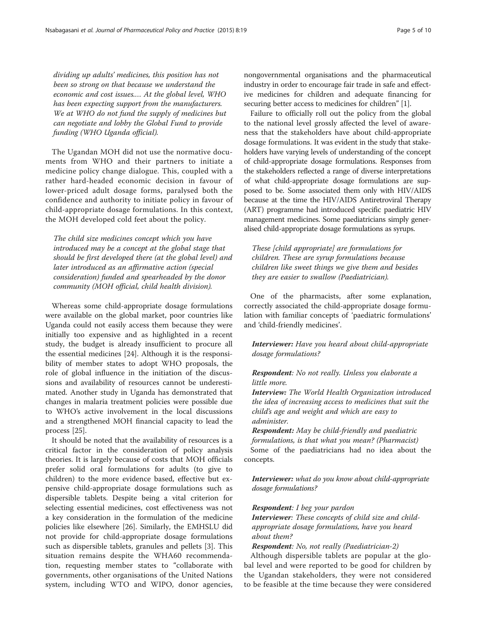dividing up adults' medicines, this position has not been so strong on that because we understand the economic and cost issues.… At the global level, WHO has been expecting support from the manufacturers. We at WHO do not fund the supply of medicines but can negotiate and lobby the Global Fund to provide funding (WHO Uganda official).

The Ugandan MOH did not use the normative documents from WHO and their partners to initiate a medicine policy change dialogue. This, coupled with a rather hard-headed economic decision in favour of lower-priced adult dosage forms, paralysed both the confidence and authority to initiate policy in favour of child-appropriate dosage formulations. In this context, the MOH developed cold feet about the policy.

The child size medicines concept which you have introduced may be a concept at the global stage that should be first developed there (at the global level) and later introduced as an affirmative action (special consideration) funded and spearheaded by the donor community (MOH official, child health division).

Whereas some child-appropriate dosage formulations were available on the global market, poor countries like Uganda could not easily access them because they were initially too expensive and as highlighted in a recent study, the budget is already insufficient to procure all the essential medicines [[24\]](#page-9-0). Although it is the responsibility of member states to adopt WHO proposals, the role of global influence in the initiation of the discussions and availability of resources cannot be underestimated. Another study in Uganda has demonstrated that changes in malaria treatment policies were possible due to WHO's active involvement in the local discussions and a strengthened MOH financial capacity to lead the process [\[25](#page-9-0)].

It should be noted that the availability of resources is a critical factor in the consideration of policy analysis theories. It is largely because of costs that MOH officials prefer solid oral formulations for adults (to give to children) to the more evidence based, effective but expensive child-appropriate dosage formulations such as dispersible tablets. Despite being a vital criterion for selecting essential medicines, cost effectiveness was not a key consideration in the formulation of the medicine policies like elsewhere [\[26\]](#page-9-0). Similarly, the EMHSLU did not provide for child-appropriate dosage formulations such as dispersible tablets, granules and pellets [[3](#page-9-0)]. This situation remains despite the WHA60 recommendation, requesting member states to "collaborate with governments, other organisations of the United Nations system, including WTO and WIPO, donor agencies, nongovernmental organisations and the pharmaceutical industry in order to encourage fair trade in safe and effective medicines for children and adequate financing for securing better access to medicines for children" [[1\]](#page-9-0).

Failure to officially roll out the policy from the global to the national level grossly affected the level of awareness that the stakeholders have about child-appropriate dosage formulations. It was evident in the study that stakeholders have varying levels of understanding of the concept of child-appropriate dosage formulations. Responses from the stakeholders reflected a range of diverse interpretations of what child-appropriate dosage formulations are supposed to be. Some associated them only with HIV/AIDS because at the time the HIV/AIDS Antiretroviral Therapy (ART) programme had introduced specific paediatric HIV management medicines. Some paediatricians simply generalised child-appropriate dosage formulations as syrups.

These [child appropriate] are formulations for children. These are syrup formulations because children like sweet things we give them and besides they are easier to swallow (Paediatrician).

One of the pharmacists, after some explanation, correctly associated the child-appropriate dosage formulation with familiar concepts of 'paediatric formulations' and 'child-friendly medicines'.

Interviewer: Have you heard about child-appropriate dosage formulations?

## Respondent: No not really. Unless you elaborate a little more.

Interview: The World Health Organization introduced the idea of increasing access to medicines that suit the child's age and weight and which are easy to administer.

Respondent: May be child-friendly and paediatric formulations, is that what you mean? (Pharmacist) Some of the paediatricians had no idea about the concepts.

Interviewer: what do you know about child-appropriate dosage formulations?

#### Respondent: I beg your pardon

Interviewer: These concepts of child size and childappropriate dosage formulations, have you heard about them?

Respondent: No, not really (Paediatrician-2)

Although dispersible tablets are popular at the global level and were reported to be good for children by the Ugandan stakeholders, they were not considered to be feasible at the time because they were considered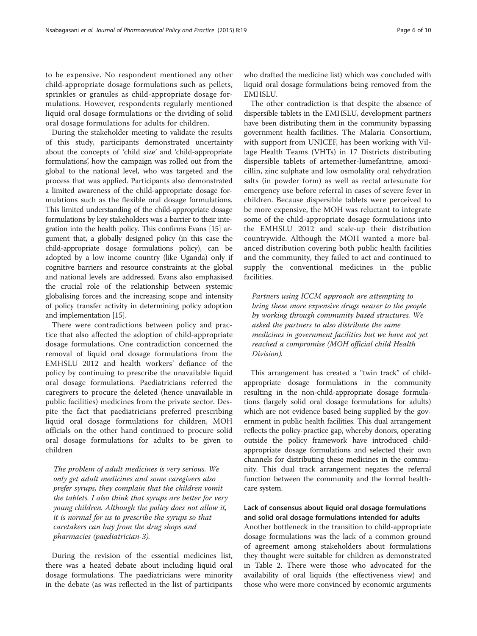to be expensive. No respondent mentioned any other child-appropriate dosage formulations such as pellets, sprinkles or granules as child-appropriate dosage formulations. However, respondents regularly mentioned liquid oral dosage formulations or the dividing of solid oral dosage formulations for adults for children.

During the stakeholder meeting to validate the results of this study, participants demonstrated uncertainty about the concepts of 'child size' and 'child-appropriate formulations', how the campaign was rolled out from the global to the national level, who was targeted and the process that was applied. Participants also demonstrated a limited awareness of the child-appropriate dosage formulations such as the flexible oral dosage formulations. This limited understanding of the child-appropriate dosage formulations by key stakeholders was a barrier to their integration into the health policy. This confirms Evans [[15](#page-9-0)] argument that, a globally designed policy (in this case the child-appropriate dosage formulations policy), can be adopted by a low income country (like Uganda) only if cognitive barriers and resource constraints at the global and national levels are addressed. Evans also emphasised the crucial role of the relationship between systemic globalising forces and the increasing scope and intensity of policy transfer activity in determining policy adoption and implementation [\[15\]](#page-9-0).

There were contradictions between policy and practice that also affected the adoption of child-appropriate dosage formulations. One contradiction concerned the removal of liquid oral dosage formulations from the EMHSLU 2012 and health workers' defiance of the policy by continuing to prescribe the unavailable liquid oral dosage formulations. Paediatricians referred the caregivers to procure the deleted (hence unavailable in public facilities) medicines from the private sector. Despite the fact that paediatricians preferred prescribing liquid oral dosage formulations for children, MOH officials on the other hand continued to procure solid oral dosage formulations for adults to be given to children

The problem of adult medicines is very serious. We only get adult medicines and some caregivers also prefer syrups, they complain that the children vomit the tablets. I also think that syrups are better for very young children. Although the policy does not allow it, it is normal for us to prescribe the syrups so that caretakers can buy from the drug shops and pharmacies (paediatrician-3).

During the revision of the essential medicines list, there was a heated debate about including liquid oral dosage formulations. The paediatricians were minority in the debate (as was reflected in the list of participants

who drafted the medicine list) which was concluded with liquid oral dosage formulations being removed from the EMHSLU.

The other contradiction is that despite the absence of dispersible tablets in the EMHSLU, development partners have been distributing them in the community bypassing government health facilities. The Malaria Consortium, with support from UNICEF, has been working with Village Health Teams (VHTs) in 17 Districts distributing dispersible tablets of artemether-lumefantrine, amoxicillin, zinc sulphate and low osmolality oral rehydration salts (in powder form) as well as rectal artesunate for emergency use before referral in cases of severe fever in children. Because dispersible tablets were perceived to be more expensive, the MOH was reluctant to integrate some of the child-appropriate dosage formulations into the EMHSLU 2012 and scale-up their distribution countrywide. Although the MOH wanted a more balanced distribution covering both public health facilities and the community, they failed to act and continued to supply the conventional medicines in the public facilities.

Partners using ICCM approach are attempting to bring these more expensive drugs nearer to the people by working through community based structures. We asked the partners to also distribute the same medicines in government facilities but we have not yet reached a compromise (MOH official child Health Division).

This arrangement has created a "twin track" of childappropriate dosage formulations in the community resulting in the non-child-appropriate dosage formulations (largely solid oral dosage formulations for adults) which are not evidence based being supplied by the government in public health facilities. This dual arrangement reflects the policy-practice gap, whereby donors, operating outside the policy framework have introduced childappropriate dosage formulations and selected their own channels for distributing these medicines in the community. This dual track arrangement negates the referral function between the community and the formal healthcare system.

## Lack of consensus about liquid oral dosage formulations and solid oral dosage formulations intended for adults

Another bottleneck in the transition to child-appropriate dosage formulations was the lack of a common ground of agreement among stakeholders about formulations they thought were suitable for children as demonstrated in Table [2.](#page-6-0) There were those who advocated for the availability of oral liquids (the effectiveness view) and those who were more convinced by economic arguments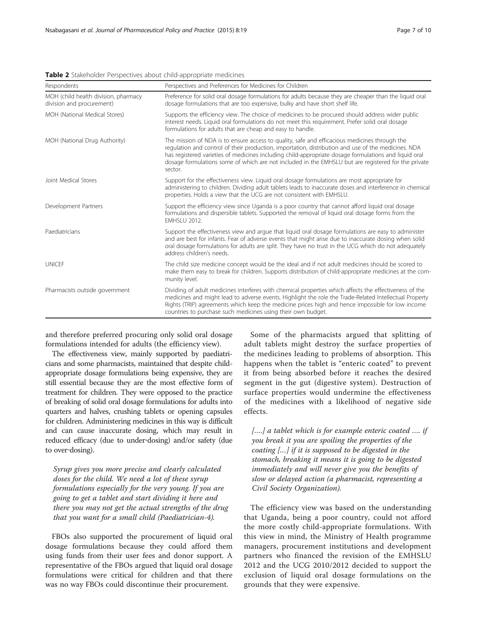<span id="page-6-0"></span>

|  |  |  |  | Table 2 Stakeholder Perspectives about child-appropriate medicines |  |
|--|--|--|--|--------------------------------------------------------------------|--|
|--|--|--|--|--------------------------------------------------------------------|--|

| Respondents                                                       | Perspectives and Preferences for Medicines for Children                                                                                                                                                                                                                                                                                                                                                                         |  |
|-------------------------------------------------------------------|---------------------------------------------------------------------------------------------------------------------------------------------------------------------------------------------------------------------------------------------------------------------------------------------------------------------------------------------------------------------------------------------------------------------------------|--|
| MOH (child health division, pharmacy<br>division and procurement) | Preference for solid oral dosage formulations for adults because they are cheaper than the liquid oral<br>dosage formulations that are too expensive, bulky and have short shelf life.                                                                                                                                                                                                                                          |  |
| MOH (National Medical Stores)                                     | Supports the efficiency view. The choice of medicines to be procured should address wider public<br>interest needs. Liquid oral formulations do not meet this requirement. Prefer solid oral dosage<br>formulations for adults that are cheap and easy to handle.                                                                                                                                                               |  |
| MOH (National Drug Authority)                                     | The mission of NDA is to ensure access to quality, safe and efficacious medicines through the<br>regulation and control of their production, importation, distribution and use of the medicines. NDA<br>has registered varieties of medicines including child-appropriate dosage formulations and liquid oral<br>dosage formulations some of which are not included in the EMHSLU but are registered for the private<br>sector. |  |
| Joint Medical Stores                                              | Support for the effectiveness view. Liquid oral dosage formulations are most appropriate for<br>administering to children. Dividing adult tablets leads to inaccurate doses and interference in chemical<br>properties. Holds a view that the UCG are not consistent with EMHSLU.                                                                                                                                               |  |
| Development Partners                                              | Support the efficiency view since Uganda is a poor country that cannot afford liquid oral dosage<br>formulations and dispersible tablets. Supported the removal of liquid oral dosage forms from the<br><b>EMHSLU 2012.</b>                                                                                                                                                                                                     |  |
| Paediatricians                                                    | Support the effectiveness view and argue that liquid oral dosage formulations are easy to administer<br>and are best for infants. Fear of adverse events that might arise due to inaccurate dosing when solid<br>oral dosage formulations for adults are split. They have no trust in the UCG which do not adequately<br>address children's needs.                                                                              |  |
| <b>UNICEF</b>                                                     | The child size medicine concept would be the ideal and if not adult medicines should be scored to<br>make them easy to break for children. Supports distribution of child-appropriate medicines at the com-<br>munity level.                                                                                                                                                                                                    |  |
| Pharmacists outside government                                    | Dividing of adult medicines interferes with chemical properties which affects the effectiveness of the<br>medicines and might lead to adverse events. Highlight the role the Trade-Related Intellectual Property<br>Rights (TRIP) agreements which keep the medicine prices high and hence impossible for low income<br>countries to purchase such medicines using their own budget.                                            |  |

and therefore preferred procuring only solid oral dosage formulations intended for adults (the efficiency view).

The effectiveness view, mainly supported by paediatricians and some pharmacists, maintained that despite childappropriate dosage formulations being expensive, they are still essential because they are the most effective form of treatment for children. They were opposed to the practice of breaking of solid oral dosage formulations for adults into quarters and halves, crushing tablets or opening capsules for children. Administering medicines in this way is difficult and can cause inaccurate dosing, which may result in reduced efficacy (due to under‐dosing) and/or safety (due to over‐dosing).

Syrup gives you more precise and clearly calculated doses for the child. We need a lot of these syrup formulations especially for the very young. If you are going to get a tablet and start dividing it here and there you may not get the actual strengths of the drug that you want for a small child (Paediatrician-4).

FBOs also supported the procurement of liquid oral dosage formulations because they could afford them using funds from their user fees and donor support. A representative of the FBOs argued that liquid oral dosage formulations were critical for children and that there was no way FBOs could discontinue their procurement.

Some of the pharmacists argued that splitting of adult tablets might destroy the surface properties of the medicines leading to problems of absorption. This happens when the tablet is "enteric coated" to prevent it from being absorbed before it reaches the desired segment in the gut (digestive system). Destruction of surface properties would undermine the effectiveness of the medicines with a likelihood of negative side effects.

[....] a tablet which is for example enteric coated .... if you break it you are spoiling the properties of the coating […] if it is supposed to be digested in the stomach, breaking it means it is going to be digested immediately and will never give you the benefits of slow or delayed action (a pharmacist, representing a Civil Society Organization).

The efficiency view was based on the understanding that Uganda, being a poor country, could not afford the more costly child-appropriate formulations. With this view in mind, the Ministry of Health programme managers, procurement institutions and development partners who financed the revision of the EMHSLU 2012 and the UCG 2010/2012 decided to support the exclusion of liquid oral dosage formulations on the grounds that they were expensive.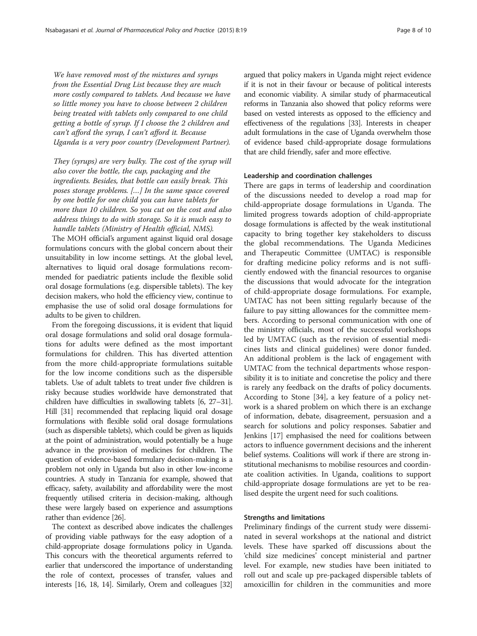We have removed most of the mixtures and syrups from the Essential Drug List because they are much more costly compared to tablets. And because we have so little money you have to choose between 2 children being treated with tablets only compared to one child getting a bottle of syrup. If I choose the 2 children and can't afford the syrup, I can't afford it. Because Uganda is a very poor country (Development Partner).

They (syrups) are very bulky. The cost of the syrup will also cover the bottle, the cup, packaging and the ingredients. Besides, that bottle can easily break. This poses storage problems. […] In the same space covered by one bottle for one child you can have tablets for more than 10 children. So you cut on the cost and also address things to do with storage. So it is much easy to handle tablets (Ministry of Health official, NMS).

The MOH official's argument against liquid oral dosage formulations concurs with the global concern about their unsuitability in low income settings. At the global level, alternatives to liquid oral dosage formulations recommended for paediatric patients include the flexible solid oral dosage formulations (e.g. dispersible tablets). The key decision makers, who hold the efficiency view, continue to emphasise the use of solid oral dosage formulations for adults to be given to children.

From the foregoing discussions, it is evident that liquid oral dosage formulations and solid oral dosage formulations for adults were defined as the most important formulations for children. This has diverted attention from the more child-appropriate formulations suitable for the low income conditions such as the dispersible tablets. Use of adult tablets to treat under five children is risky because studies worldwide have demonstrated that children have difficulties in swallowing tablets [\[6, 27](#page-9-0)–[31](#page-9-0)]. Hill [[31](#page-9-0)] recommended that replacing liquid oral dosage formulations with flexible solid oral dosage formulations (such as dispersible tablets), which could be given as liquids at the point of administration, would potentially be a huge advance in the provision of medicines for children. The question of evidence-based formulary decision-making is a problem not only in Uganda but also in other low-income countries. A study in Tanzania for example, showed that efficacy, safety, availability and affordability were the most frequently utilised criteria in decision-making, although these were largely based on experience and assumptions rather than evidence [[26\]](#page-9-0).

The context as described above indicates the challenges of providing viable pathways for the easy adoption of a child-appropriate dosage formulations policy in Uganda. This concurs with the theoretical arguments referred to earlier that underscored the importance of understanding the role of context, processes of transfer, values and interests [\[16, 18](#page-9-0), [14\]](#page-9-0). Similarly, Orem and colleagues [\[32](#page-9-0)]

argued that policy makers in Uganda might reject evidence if it is not in their favour or because of political interests and economic viability. A similar study of pharmaceutical reforms in Tanzania also showed that policy reforms were based on vested interests as opposed to the efficiency and effectiveness of the regulations [\[33\]](#page-9-0). Interests in cheaper adult formulations in the case of Uganda overwhelm those of evidence based child-appropriate dosage formulations that are child friendly, safer and more effective.

#### Leadership and coordination challenges

There are gaps in terms of leadership and coordination of the discussions needed to develop a road map for child-appropriate dosage formulations in Uganda. The limited progress towards adoption of child-appropriate dosage formulations is affected by the weak institutional capacity to bring together key stakeholders to discuss the global recommendations. The Uganda Medicines and Therapeutic Committee (UMTAC) is responsible for drafting medicine policy reforms and is not sufficiently endowed with the financial resources to organise the discussions that would advocate for the integration of child-appropriate dosage formulations. For example, UMTAC has not been sitting regularly because of the failure to pay sitting allowances for the committee members. According to personal communication with one of the ministry officials, most of the successful workshops led by UMTAC (such as the revision of essential medicines lists and clinical guidelines) were donor funded. An additional problem is the lack of engagement with UMTAC from the technical departments whose responsibility it is to initiate and concretise the policy and there is rarely any feedback on the drafts of policy documents. According to Stone [\[34](#page-9-0)], a key feature of a policy network is a shared problem on which there is an exchange of information, debate, disagreement, persuasion and a search for solutions and policy responses. Sabatier and Jenkins [[17](#page-9-0)] emphasised the need for coalitions between actors to influence government decisions and the inherent belief systems. Coalitions will work if there are strong institutional mechanisms to mobilise resources and coordinate coalition activities. In Uganda, coalitions to support child-appropriate dosage formulations are yet to be realised despite the urgent need for such coalitions.

## Strengths and limitations

Preliminary findings of the current study were disseminated in several workshops at the national and district levels. These have sparked off discussions about the 'child size medicines' concept ministerial and partner level. For example, new studies have been initiated to roll out and scale up pre-packaged dispersible tablets of amoxicillin for children in the communities and more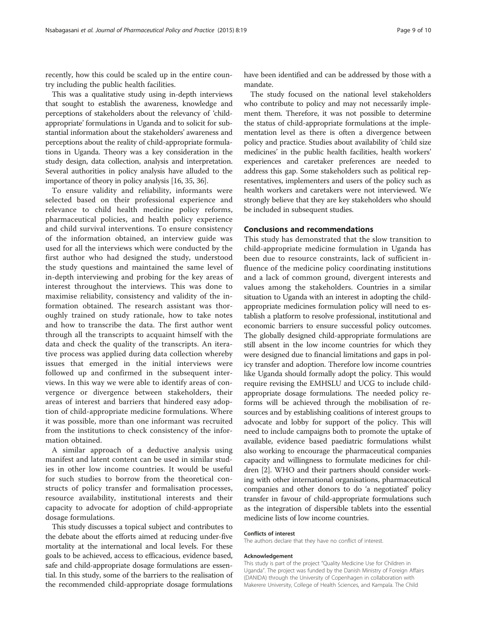recently, how this could be scaled up in the entire country including the public health facilities.

This was a qualitative study using in-depth interviews that sought to establish the awareness, knowledge and perceptions of stakeholders about the relevancy of 'childappropriate' formulations in Uganda and to solicit for substantial information about the stakeholders' awareness and perceptions about the reality of child-appropriate formulations in Uganda. Theory was a key consideration in the study design, data collection, analysis and interpretation. Several authorities in policy analysis have alluded to the importance of theory in policy analysis [[16](#page-9-0), [35, 36](#page-9-0)].

To ensure validity and reliability, informants were selected based on their professional experience and relevance to child health medicine policy reforms, pharmaceutical policies, and health policy experience and child survival interventions. To ensure consistency of the information obtained, an interview guide was used for all the interviews which were conducted by the first author who had designed the study, understood the study questions and maintained the same level of in-depth interviewing and probing for the key areas of interest throughout the interviews. This was done to maximise reliability, consistency and validity of the information obtained. The research assistant was thoroughly trained on study rationale, how to take notes and how to transcribe the data. The first author went through all the transcripts to acquaint himself with the data and check the quality of the transcripts. An iterative process was applied during data collection whereby issues that emerged in the initial interviews were followed up and confirmed in the subsequent interviews. In this way we were able to identify areas of convergence or divergence between stakeholders, their areas of interest and barriers that hindered easy adoption of child-appropriate medicine formulations. Where it was possible, more than one informant was recruited from the institutions to check consistency of the information obtained.

A similar approach of a deductive analysis using manifest and latent content can be used in similar studies in other low income countries. It would be useful for such studies to borrow from the theoretical constructs of policy transfer and formalisation processes, resource availability, institutional interests and their capacity to advocate for adoption of child-appropriate dosage formulations.

This study discusses a topical subject and contributes to the debate about the efforts aimed at reducing under-five mortality at the international and local levels. For these goals to be achieved, access to efficacious, evidence based, safe and child-appropriate dosage formulations are essential. In this study, some of the barriers to the realisation of the recommended child-appropriate dosage formulations

have been identified and can be addressed by those with a mandate.

The study focused on the national level stakeholders who contribute to policy and may not necessarily implement them. Therefore, it was not possible to determine the status of child-appropriate formulations at the implementation level as there is often a divergence between policy and practice. Studies about availability of 'child size medicines' in the public health facilities, health workers' experiences and caretaker preferences are needed to address this gap. Some stakeholders such as political representatives, implementers and users of the policy such as health workers and caretakers were not interviewed. We strongly believe that they are key stakeholders who should be included in subsequent studies.

## Conclusions and recommendations

This study has demonstrated that the slow transition to child-appropriate medicine formulation in Uganda has been due to resource constraints, lack of sufficient influence of the medicine policy coordinating institutions and a lack of common ground, divergent interests and values among the stakeholders. Countries in a similar situation to Uganda with an interest in adopting the childappropriate medicines formulation policy will need to establish a platform to resolve professional, institutional and economic barriers to ensure successful policy outcomes. The globally designed child-appropriate formulations are still absent in the low income countries for which they were designed due to financial limitations and gaps in policy transfer and adoption. Therefore low income countries like Uganda should formally adopt the policy. This would require revising the EMHSLU and UCG to include childappropriate dosage formulations. The needed policy reforms will be achieved through the mobilisation of resources and by establishing coalitions of interest groups to advocate and lobby for support of the policy. This will need to include campaigns both to promote the uptake of available, evidence based paediatric formulations whilst also working to encourage the pharmaceutical companies capacity and willingness to formulate medicines for children [\[2](#page-9-0)]. WHO and their partners should consider working with other international organisations, pharmaceutical companies and other donors to do 'a negotiated' policy transfer in favour of child-appropriate formulations such as the integration of dispersible tablets into the essential medicine lists of low income countries.

#### Conflicts of interest

The authors declare that they have no conflict of interest.

#### Acknowledgement

This study is part of the project "Quality Medicine Use for Children in Uganda". The project was funded by the Danish Ministry of Foreign Affairs (DANIDA) through the University of Copenhagen in collaboration with Makerere University, College of Health Sciences, and Kampala. The Child